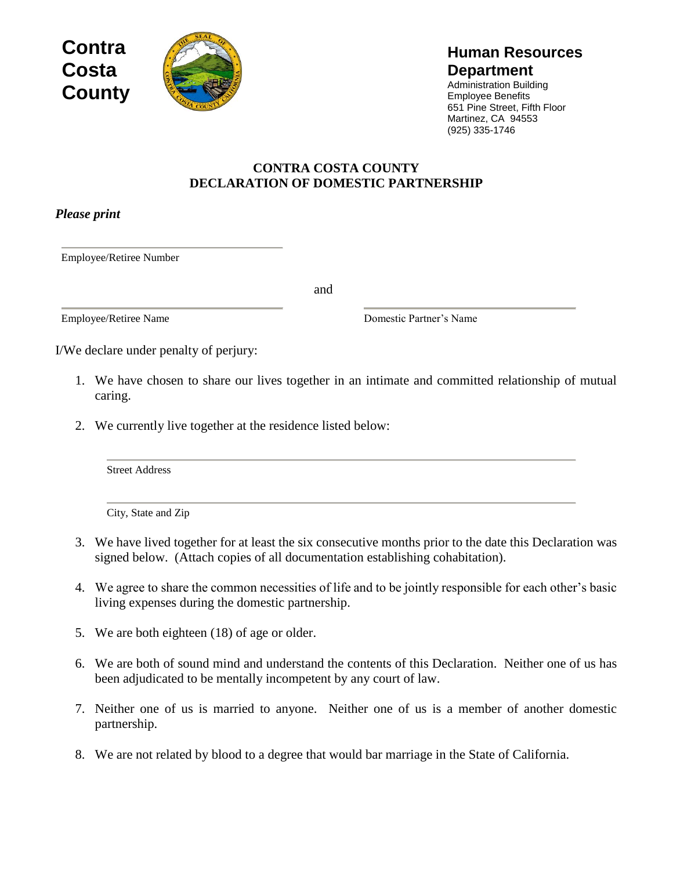



## **Human Resources Department**

Administration Building Employee Benefits 651 Pine Street, Fifth Floor Martinez, CA 94553 (925) 335-1746

## **CONTRA COSTA COUNTY DECLARATION OF DOMESTIC PARTNERSHIP**

*Please print*

Employee/Retiree Number

and

Employee/Retiree Name Domestic Partner's Name

I/We declare under penalty of perjury:

- 1. We have chosen to share our lives together in an intimate and committed relationship of mutual caring.
- 2. We currently live together at the residence listed below:

Street Address

City, State and Zip

- 3. We have lived together for at least the six consecutive months prior to the date this Declaration was signed below. (Attach copies of all documentation establishing cohabitation).
- 4. We agree to share the common necessities of life and to be jointly responsible for each other's basic living expenses during the domestic partnership.
- 5. We are both eighteen (18) of age or older.
- 6. We are both of sound mind and understand the contents of this Declaration. Neither one of us has been adjudicated to be mentally incompetent by any court of law.
- 7. Neither one of us is married to anyone. Neither one of us is a member of another domestic partnership.
- 8. We are not related by blood to a degree that would bar marriage in the State of California.